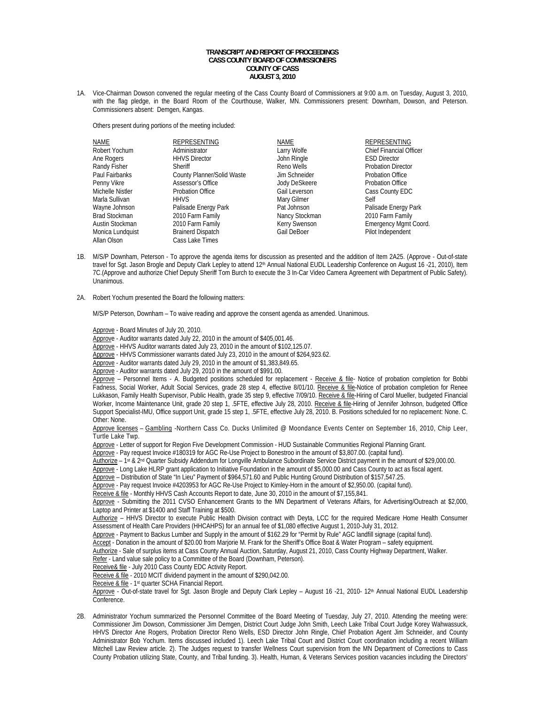## **TRANSCRIPT AND REPORT OF PROCEEDINGS CASS COUNTY BOARD OF COMMISSIONERS COUNTY OF CASS AUGUST 3, 2010**

1A. Vice-Chairman Dowson convened the regular meeting of the Cass County Board of Commissioners at 9:00 a.m. on Tuesday, August 3, 2010, with the flag pledge, in the Board Room of the Courthouse, Walker, MN. Commissioners present: Downham, Dowson, and Peterson. Commissioners absent: Demgen, Kangas.

Others present during portions of the meeting included:

| NAME                 | <b>REPRESENTING</b>        | <b>NAME</b>          | <b>REPRESENTING</b>            |
|----------------------|----------------------------|----------------------|--------------------------------|
| Robert Yochum        | Administrator              | Larry Wolfe          | <b>Chief Financial Officer</b> |
| Ane Rogers           | <b>HHVS Director</b>       | John Ringle          | <b>ESD Director</b>            |
| Randy Fisher         | Sheriff                    | Reno Wells           | <b>Probation Director</b>      |
| Paul Fairbanks       | County Planner/Solid Waste | Jim Schneider        | <b>Probation Office</b>        |
| Penny Vikre          | Assessor's Office          | <b>Jody DeSkeere</b> | <b>Probation Office</b>        |
| Michelle Nistler     | <b>Probation Office</b>    | Gail Leverson        | Cass County EDC                |
| Marla Sullivan       | <b>HHVS</b>                | Mary Gilmer          | Self                           |
| Wayne Johnson        | Palisade Energy Park       | Pat Johnson          | Palisade Energy Park           |
| <b>Brad Stockman</b> | 2010 Farm Family           | Nancy Stockman       | 2010 Farm Family               |
| Austin Stockman      | 2010 Farm Family           | Kerry Swenson        | Emergency Mgmt Coord.          |
| Monica Lundquist     | <b>Brainerd Dispatch</b>   | Gail DeBoer          | Pilot Independent              |
| Allan Olson          | Cass Lake Times            |                      |                                |

- 1B. M/S/P Downham, Peterson To approve the agenda items for discussion as presented and the addition of Item 2A25. (Approve Out-of-state travel for Sgt. Jason Brogle and Deputy Clark Lepley to attend 12<sup>th</sup> Annual National EUDL Leadership Conference on August 16 -21, 2010), Item 7C.(Approve and authorize Chief Deputy Sheriff Tom Burch to execute the 3 In-Car Video Camera Agreement with Department of Public Safety). Unanimous.
- 2A. Robert Yochum presented the Board the following matters:

M/S/P Peterson, Downham – To waive reading and approve the consent agenda as amended. Unanimous.

Approve - Board Minutes of July 20, 2010.

Approve - Auditor warrants dated July 22, 2010 in the amount of \$405,001.46.

Approve - HHVS Auditor warrants dated July 23, 2010 in the amount of \$102,125.07.

Approve - HHVS Commissioner warrants dated July 23, 2010 in the amount of \$264,923.62.

Approve - Auditor warrants dated July 29, 2010 in the amount of \$1,383,849.65.

Approve - Auditor warrants dated July 29, 2010 in the amount of \$991.00.

Approve - Personnel Items - A. Budgeted positions scheduled for replacement - Receive & file- Notice of probation completion for Bobbi Fadness, Social Worker, Adult Social Services, grade 28 step 4, effective 8/01/10. Receive & file-Notice of probation completion for Renee Lukkason, Family Health Supervisor, Public Health, grade 35 step 9, effective 7/09/10. Receive & file-Hiring of Carol Mueller, budgeted Financial Worker, Income Maintenance Unit, grade 20 step 1, .5FTE, effective July 28, 2010. Receive & file-Hiring of Jennifer Johnson, budgeted Office Support Specialist-IMU, Office support Unit, grade 15 step 1, .5FTE, effective July 28, 2010. B. Positions scheduled for no replacement: None. C. Other: None.

Approve licenses - Gambling -Northern Cass Co. Ducks Unlimited @ Moondance Events Center on September 16, 2010, Chip Leer, Turtle Lake Twp.

Approve - Letter of support for Region Five Development Commission - HUD Sustainable Communities Regional Planning Grant.

Approve - Pay request Invoice #180319 for AGC Re-Use Project to Bonestroo in the amount of \$3,807.00. (capital fund).

Authorize – 1st & 2nd Quarter Subsidy Addendum for Longville Ambulance Subordinate Service District payment in the amount of \$29,000.00.

Approve - Long Lake HLRP grant application to Initiative Foundation in the amount of \$5,000.00 and Cass County to act as fiscal agent.

Approve – Distribution of State "In Lieu" Payment of \$964,571.60 and Public Hunting Ground Distribution of \$157,547.25.

Approve - Pay request Invoice #4203953 for AGC Re-Use Project to Kimley-Horn in the amount of \$2,950.00. (capital fund).

Receive & file - Monthly HHVS Cash Accounts Report to date, June 30, 2010 in the amount of \$7,155,841.

Approve - Submitting the 2011 CVSO Enhancement Grants to the MN Department of Veterans Affairs, for Advertising/Outreach at \$2,000, Laptop and Printer at \$1400 and Staff Training at \$500.

Authorize - HHVS Director to execute Public Health Division contract with Deyta, LCC for the required Medicare Home Health Consumer Assessment of Health Care Providers (HHCAHPS) for an annual fee of \$1,080 effective August 1, 2010-July 31, 2012.

Approve - Payment to Backus Lumber and Supply in the amount of \$162.29 for "Permit by Rule" AGC landfill signage (capital fund).

Accept - Donation in the amount of \$20.00 from Marjorie M. Frank for the Sheriff's Office Boat & Water Program – safety equipment.

Authorize - Sale of surplus items at Cass County Annual Auction, Saturday, August 21, 2010, Cass County Highway Department, Walker.

Refer - Land value sale policy to a Committee of the Board (Downham, Peterson).

Receive& file - July 2010 Cass County EDC Activity Report.

Receive & file - 2010 MCIT dividend payment in the amount of \$290,042.00.

Receive & file - 1<sup>st</sup> quarter SCHA Financial Report.

Approve - Out-of-state travel for Sgt. Jason Brogle and Deputy Clark Lepley - August 16 -21, 2010- 12th Annual National EUDL Leadership Conference.

2B. Administrator Yochum summarized the Personnel Committee of the Board Meeting of Tuesday, July 27, 2010. Attending the meeting were: Commissioner Jim Dowson, Commissioner Jim Demgen, District Court Judge John Smith, Leech Lake Tribal Court Judge Korey Wahwassuck, HHVS Director Ane Rogers, Probation Director Reno Wells, ESD Director John Ringle, Chief Probation Agent Jim Schneider, and County Administrator Bob Yochum. Items discussed included 1). Leech Lake Tribal Court and District Court coordination including a recent William Mitchell Law Review article. 2). The Judges request to transfer Wellness Court supervision from the MN Department of Corrections to Cass County Probation utilizing State, County, and Tribal funding. 3). Health, Human, & Veterans Services position vacancies including the Directors'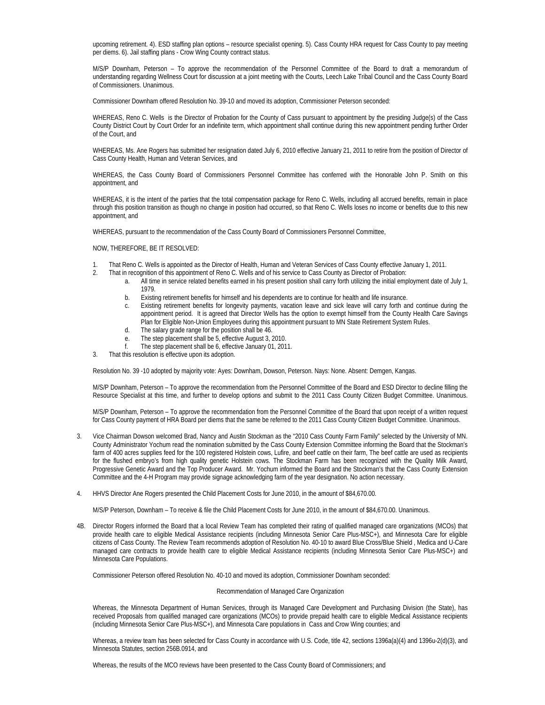upcoming retirement. 4). ESD staffing plan options – resource specialist opening. 5). Cass County HRA request for Cass County to pay meeting per diems. 6). Jail staffing plans - Crow Wing County contract status.

M/S/P Downham, Peterson – To approve the recommendation of the Personnel Committee of the Board to draft a memorandum of understanding regarding Wellness Court for discussion at a joint meeting with the Courts, Leech Lake Tribal Council and the Cass County Board of Commissioners. Unanimous.

Commissioner Downham offered Resolution No. 39-10 and moved its adoption, Commissioner Peterson seconded:

WHEREAS, Reno C. Wells is the Director of Probation for the County of Cass pursuant to appointment by the presiding Judge(s) of the Cass County District Court by Court Order for an indefinite term, which appointment shall continue during this new appointment pending further Order of the Court, and

WHEREAS, Ms. Ane Rogers has submitted her resignation dated July 6, 2010 effective January 21, 2011 to retire from the position of Director of Cass County Health, Human and Veteran Services, and

WHEREAS, the Cass County Board of Commissioners Personnel Committee has conferred with the Honorable John P. Smith on this appointment, and

WHEREAS, it is the intent of the parties that the total compensation package for Reno C. Wells, including all accrued benefits, remain in place through this position transition as though no change in position had occurred, so that Reno C. Wells loses no income or benefits due to this new appointment, and

WHEREAS, pursuant to the recommendation of the Cass County Board of Commissioners Personnel Committee,

NOW, THEREFORE, BE IT RESOLVED:

- 1. That Reno C. Wells is appointed as the Director of Health, Human and Veteran Services of Cass County effective January 1, 2011.<br>2. That in recognition of this appointment of Reno C. Wells and of his service to Cass Coun
- 2. That in recognition of this appointment of Reno C. Wells and of his service to Cass County as Director of Probation:
	- a. All time in service related benefits earned in his present position shall carry forth utilizing the initial employment date of July 1, 1979.
	- b. Existing retirement benefits for himself and his dependents are to continue for health and life insurance.
	- c. Existing retirement benefits for longevity payments, vacation leave and sick leave will carry forth and continue during the appointment period. It is agreed that Director Wells has the option to exempt himself from the County Health Care Savings Plan for Eligible Non-Union Employees during this appointment pursuant to MN State Retirement System Rules.
	- d. The salary grade range for the position shall be 46.
	- e. The step placement shall be 5, effective August 3, 2010.
	- f. The step placement shall be 6, effective January 01, 2011.
- 3. That this resolution is effective upon its adoption.

Resolution No. 39 -10 adopted by majority vote: Ayes: Downham, Dowson, Peterson. Nays: None. Absent: Demgen, Kangas.

M/S/P Downham, Peterson – To approve the recommendation from the Personnel Committee of the Board and ESD Director to decline filling the Resource Specialist at this time, and further to develop options and submit to the 2011 Cass County Citizen Budget Committee. Unanimous.

M/S/P Downham, Peterson – To approve the recommendation from the Personnel Committee of the Board that upon receipt of a written request for Cass County payment of HRA Board per diems that the same be referred to the 2011 Cass County Citizen Budget Committee. Unanimous.

- 3. Vice Chairman Dowson welcomed Brad, Nancy and Austin Stockman as the "2010 Cass County Farm Family" selected by the University of MN. County Administrator Yochum read the nomination submitted by the Cass County Extension Committee informing the Board that the Stockman's farm of 400 acres supplies feed for the 100 registered Holstein cows, Lufire, and beef cattle on their farm, The beef cattle are used as recipients for the flushed embryo's from high quality genetic Holstein cows. The Stockman Farm has been recognized with the Quality Milk Award, Progressive Genetic Award and the Top Producer Award. Mr. Yochum informed the Board and the Stockman's that the Cass County Extension Committee and the 4-H Program may provide signage acknowledging farm of the year designation. No action necessary.
- 4. HHVS Director Ane Rogers presented the Child Placement Costs for June 2010, in the amount of \$84,670.00.

M/S/P Peterson, Downham – To receive & file the Child Placement Costs for June 2010, in the amount of \$84,670.00. Unanimous.

4B. Director Rogers informed the Board that a local Review Team has completed their rating of qualified managed care organizations (MCOs) that provide health care to eligible Medical Assistance recipients (including Minnesota Senior Care Plus-MSC+), and Minnesota Care for eligible citizens of Cass County. The Review Team recommends adoption of Resolution No. 40-10 to award Blue Cross/Blue Shield , Medica and U-Care managed care contracts to provide health care to eligible Medical Assistance recipients (including Minnesota Senior Care Plus-MSC+) and Minnesota Care Populations.

Commissioner Peterson offered Resolution No. 40-10 and moved its adoption, Commissioner Downham seconded:

## Recommendation of Managed Care Organization

Whereas, the Minnesota Department of Human Services, through its Managed Care Development and Purchasing Division (the State), has received Proposals from qualified managed care organizations (MCOs) to provide prepaid health care to eligible Medical Assistance recipients (including Minnesota Senior Care Plus-MSC+), and Minnesota Care populations in Cass and Crow Wing counties; and

Whereas, a review team has been selected for Cass County in accordance with U.S. Code, title 42, sections 1396a(a)(4) and 1396u-2(d)(3), and Minnesota Statutes, section 256B.0914, and

Whereas, the results of the MCO reviews have been presented to the Cass County Board of Commissioners; and